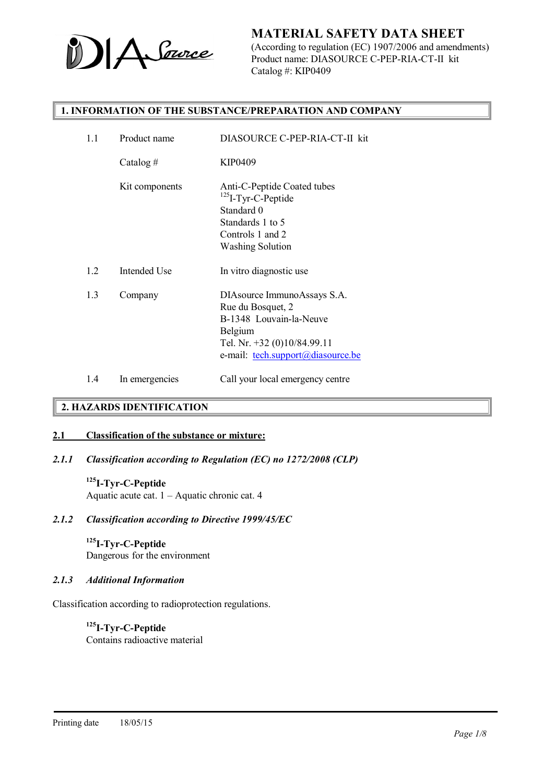

(According to regulation (EC) 1907/2006 and amendments) Product name: DIASOURCE C-PEP-RIA-CT-II kit Catalog #: KIP0409

### 1. INFORMATION OF THE SUBSTANCE/PREPARATION AND COMPANY

| 1.1 | Product name   | DIASOURCE C-PEP-RIA-CT-II kit                                                                                                                                      |
|-----|----------------|--------------------------------------------------------------------------------------------------------------------------------------------------------------------|
|     | Catalog #      | <b>KIP0409</b>                                                                                                                                                     |
|     | Kit components | Anti-C-Peptide Coated tubes<br>$^{125}$ I-Tyr-C-Peptide<br>Standard 0<br>Standards 1 to 5<br>Controls 1 and 2<br><b>Washing Solution</b>                           |
| 1.2 | Intended Use   | In vitro diagnostic use                                                                                                                                            |
| 1.3 | Company        | DIAsource ImmunoAssays S.A.<br>Rue du Bosquet, 2<br>B-1348 Louvain-la-Neuve<br>Belgium<br>Tel. Nr. +32 (0)10/84.99.11<br>e-mail: <u>tech.support</u> @diasource.be |
| 1.4 | In emergencies | Call your local emergency centre                                                                                                                                   |

### 2. HAZARDS IDENTIFICATION

#### 2.1 Classification of the substance or mixture:

### *2.1.1 Classification according to Regulation (EC) no 1272/2008 (CLP)*

125I-Tyr-C-Peptide Aquatic acute cat. 1 – Aquatic chronic cat. 4

#### *2.1.2 Classification according to Directive 1999/45/EC*

<sup>125</sup>I-Tyr-C-Peptide Dangerous for the environment

### *2.1.3 Additional Information*

Classification according to radioprotection regulations.

125I-Tyr-C-Peptide Contains radioactive material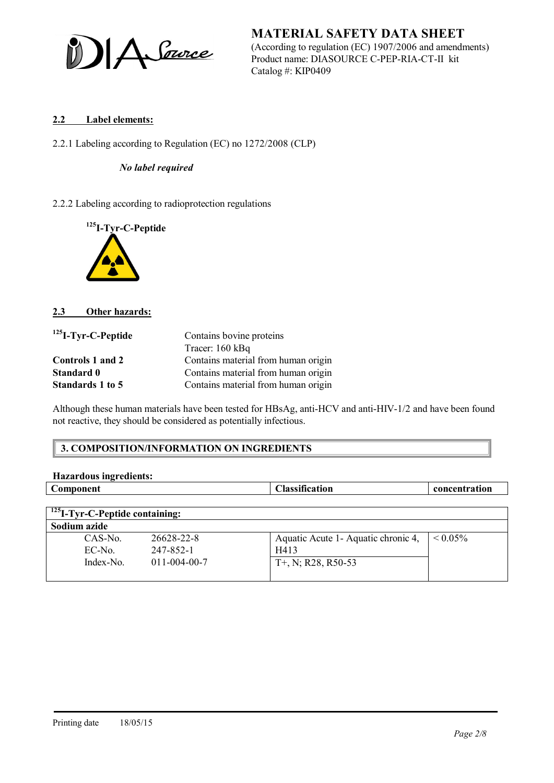A Source

MATERIAL SAFETY DATA SHEET (According to regulation (EC) 1907/2006 and amendments) Product name: DIASOURCE C-PEP-RIA-CT-II kit Catalog #: KIP0409

## 2.2 Label elements:

2.2.1 Labeling according to Regulation (EC) no 1272/2008 (CLP)

### *No label required*

2.2.2 Labeling according to radioprotection regulations



### 2.3 Other hazards:

| $125$ <sub>I</sub> -Tyr-C-Peptide | Contains bovine proteins            |
|-----------------------------------|-------------------------------------|
|                                   | Tracer: 160 kBq                     |
| Controls 1 and 2                  | Contains material from human origin |
| Standard 0                        | Contains material from human origin |
| Standards 1 to 5                  | Contains material from human origin |

Although these human materials have been tested for HBsAg, anti-HCV and anti-HIV-1/2 and have been found not reactive, they should be considered as potentially infectious.

### 3. COMPOSITION/INFORMATION ON INGREDIENTS

| Hazardous ingredients:                     |                      |                                      |               |
|--------------------------------------------|----------------------|--------------------------------------|---------------|
| Component                                  |                      | <b>Classification</b>                | concentration |
|                                            |                      |                                      |               |
| <sup>125</sup> I-Tyr-C-Peptide containing: |                      |                                      |               |
| Sodium azide                               |                      |                                      |               |
| CAS-No.                                    | 26628-22-8           | Aquatic Acute 1 - Aquatic chronic 4, | $\leq 0.05\%$ |
| $EC-N0$                                    | 247-852-1            | H413                                 |               |
| $Index-N0$                                 | $011 - 004 - 00 - 7$ | $T+$ , N; R28, R50-53                |               |
|                                            |                      |                                      |               |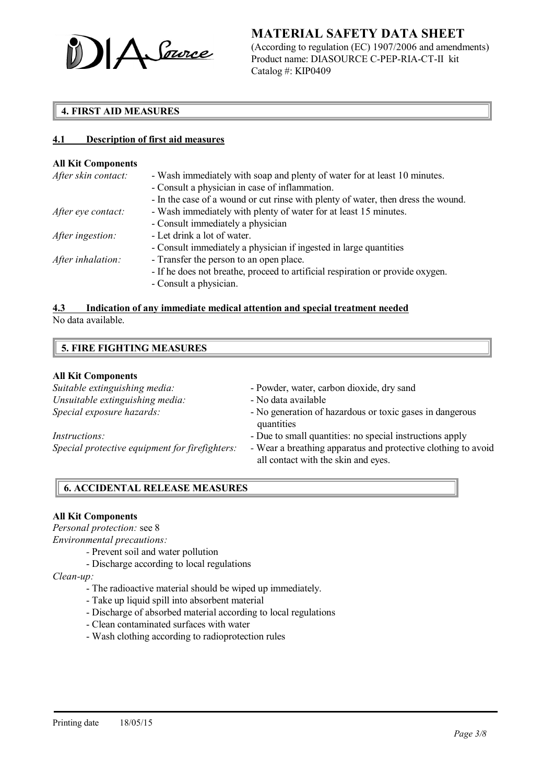

(According to regulation (EC) 1907/2006 and amendments) Product name: DIASOURCE C-PEP-RIA-CT-II kit Catalog #: KIP0409

### 4. FIRST AID MEASURES

### 4.1 Description of first aid measures

#### All Kit Components

| After skin contact: | - Wash immediately with soap and plenty of water for at least 10 minutes.         |
|---------------------|-----------------------------------------------------------------------------------|
|                     | - Consult a physician in case of inflammation.                                    |
|                     | - In the case of a wound or cut rinse with plenty of water, then dress the wound. |
| After eye contact:  | - Wash immediately with plenty of water for at least 15 minutes.                  |
|                     | - Consult immediately a physician                                                 |
| After ingestion:    | - Let drink a lot of water.                                                       |
|                     | - Consult immediately a physician if ingested in large quantities                 |
| After inhalation:   | - Transfer the person to an open place.                                           |
|                     | - If he does not breathe, proceed to artificial respiration or provide oxygen.    |
|                     | - Consult a physician.                                                            |
|                     |                                                                                   |

#### 4.3 Indication of any immediate medical attention and special treatment needed No data available.

| <b>5. FIRE FIGHTING MEASURES</b> |  |
|----------------------------------|--|
|----------------------------------|--|

#### All Kit Components

| Suitable extinguishing media:                  | - Powder, water, carbon dioxide, dry sand                                                            |
|------------------------------------------------|------------------------------------------------------------------------------------------------------|
| Unsuitable extinguishing media:                | - No data available                                                                                  |
| Special exposure hazards:                      | - No generation of hazardous or toxic gases in dangerous<br>quantities                               |
| <i>Instructions:</i>                           | - Due to small quantities: no special instructions apply                                             |
| Special protective equipment for firefighters: | - Wear a breathing apparatus and protective clothing to avoid<br>all contact with the skin and eyes. |

### 6. ACCIDENTAL RELEASE MEASURES

### All Kit Components

*Personal protection:* see 8

*Environmental precautions:*

- *-* Prevent soil and water pollution
- Discharge according to local regulations

*Clean-up:*

- The radioactive material should be wiped up immediately.
- Take up liquid spill into absorbent material
- Discharge of absorbed material according to local regulations
- Clean contaminated surfaces with water
- Wash clothing according to radioprotection rules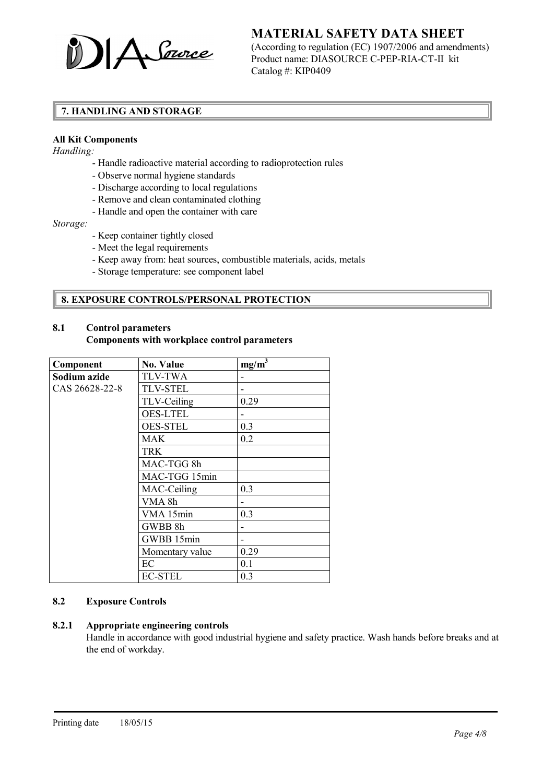

(According to regulation (EC) 1907/2006 and amendments) Product name: DIASOURCE C-PEP-RIA-CT-II kit Catalog #: KIP0409

### 7. HANDLING AND STORAGE

### All Kit Components

*Handling:*

- Handle radioactive material according to radioprotection rules
- Observe normal hygiene standards
- Discharge according to local regulations
- Remove and clean contaminated clothing
- Handle and open the container with care

*Storage:*

- Keep container tightly closed
- Meet the legal requirements
- Keep away from: heat sources, combustible materials, acids, metals
- Storage temperature: see component label

### 8. EXPOSURE CONTROLS/PERSONAL PROTECTION

# 8.1 Control parameters

### Components with workplace control parameters

| Component      | No. Value       | $mg/m^3$ |
|----------------|-----------------|----------|
| Sodium azide   | <b>TLV-TWA</b>  |          |
| CAS 26628-22-8 | <b>TLV-STEL</b> |          |
|                | TLV-Ceiling     | 0.29     |
|                | <b>OES-LTEL</b> |          |
|                | <b>OES-STEL</b> | 0.3      |
|                | <b>MAK</b>      | 0.2      |
|                | <b>TRK</b>      |          |
|                | MAC-TGG 8h      |          |
|                | MAC-TGG 15min   |          |
|                | MAC-Ceiling     | 0.3      |
|                | VMA 8h          |          |
|                | VMA 15min       | 0.3      |
|                | GWBB 8h         |          |
|                | GWBB 15min      |          |
|                | Momentary value | 0.29     |
|                | EC              | 0.1      |
|                | <b>EC-STEL</b>  | 0.3      |

### 8.2 Exposure Controls

### 8.2.1 Appropriate engineering controls

Handle in accordance with good industrial hygiene and safety practice. Wash hands before breaks and at the end of workday.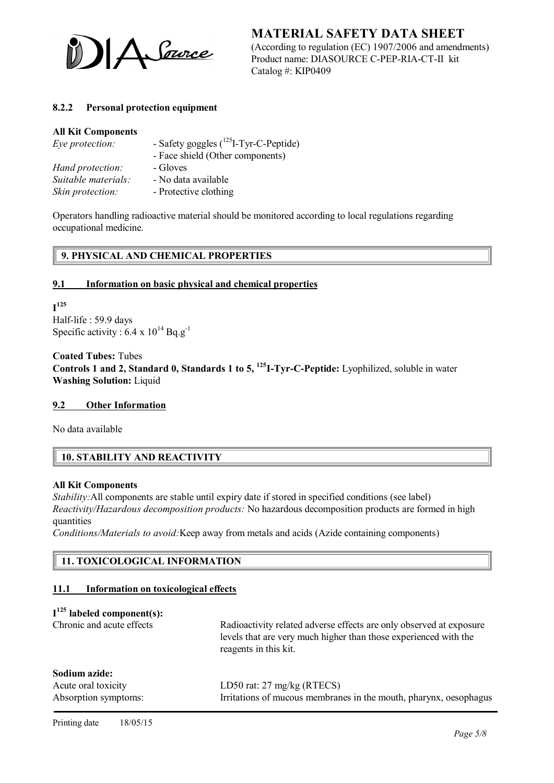

(According to regulation (EC) 1907/2006 and amendments) Product name: DIASOURCE C-PEP-RIA-CT-II kit Catalog #: KIP0409

### 8.2.2 Personal protection equipment

#### All Kit Components

| Eye protection:     | - Safety goggles $(^{125}I-Tyr-C-Peptide)$ |
|---------------------|--------------------------------------------|
|                     | - Face shield (Other components)           |
| Hand protection:    | - Gloves                                   |
| Suitable materials: | - No data available                        |
| Skin protection:    | - Protective clothing                      |

Operators handling radioactive material should be monitored according to local regulations regarding occupational medicine.

### 9. PHYSICAL AND CHEMICAL PROPERTIES

### 9.1 Information on basic physical and chemical properties

 $\mathbf{I}^{125}$ Half-life : 59.9 days Specific activity :  $6.4 \times 10^{14}$  Bq.g<sup>-1</sup>

Coated Tubes: Tubes Controls 1 and 2, Standard 0, Standards 1 to  $5$ ,  $^{125}$ I-Tyr-C-Peptide: Lyophilized, soluble in water Washing Solution: Liquid

### 9.2 Other Information

No data available

### 10. STABILITY AND REACTIVITY

#### All Kit Components

*Stability:*All components are stable until expiry date if stored in specified conditions (see label) *Reactivity/Hazardous decomposition products:* No hazardous decomposition products are formed in high quantities

*Conditions/Materials to avoid:*Keep away from metals and acids (Azide containing components)

### 11. TOXICOLOGICAL INFORMATION

### 11.1 Information on toxicological effects

### $I<sup>125</sup>$  labeled component(s):

| Chronic and acute effects                                    | Radioactivity related adverse effects are only observed at exposure<br>levels that are very much higher than those experienced with the<br>reagents in this kit. |
|--------------------------------------------------------------|------------------------------------------------------------------------------------------------------------------------------------------------------------------|
| Sodium azide:<br>Acute oral toxicity<br>Absorption symptoms: | LD50 rat: $27 \text{ mg/kg}$ (RTECS)<br>Irritations of mucous membranes in the mouth, pharynx, oesophagus                                                        |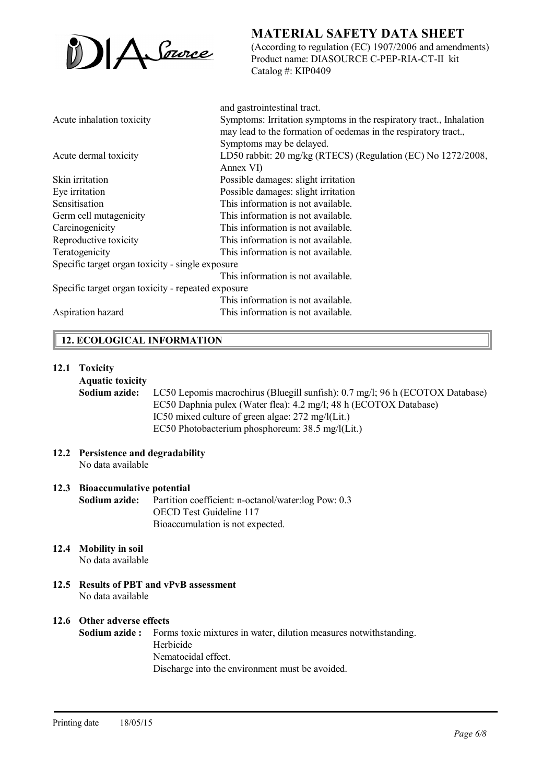

(According to regulation (EC) 1907/2006 and amendments) Product name: DIASOURCE C-PEP-RIA-CT-II kit Catalog #: KIP0409

|                                                    | and gastrointestinal tract.                                         |
|----------------------------------------------------|---------------------------------------------------------------------|
| Acute inhalation toxicity                          | Symptoms: Irritation symptoms in the respiratory tract., Inhalation |
|                                                    | may lead to the formation of oedemas in the respiratory tract.      |
|                                                    | Symptoms may be delayed.                                            |
| Acute dermal toxicity                              | LD50 rabbit: 20 mg/kg (RTECS) (Regulation (EC) No 1272/2008,        |
|                                                    | Annex VI)                                                           |
| Skin irritation                                    | Possible damages: slight irritation                                 |
| Eye irritation                                     | Possible damages: slight irritation                                 |
| Sensitisation                                      | This information is not available.                                  |
| Germ cell mutagenicity                             | This information is not available.                                  |
| Carcinogenicity                                    | This information is not available.                                  |
| Reproductive toxicity                              | This information is not available.                                  |
| Teratogenicity                                     | This information is not available.                                  |
| Specific target organ toxicity - single exposure   |                                                                     |
|                                                    | This information is not available.                                  |
| Specific target organ toxicity - repeated exposure |                                                                     |
|                                                    | This information is not available.                                  |
| Aspiration hazard                                  | This information is not available.                                  |
|                                                    |                                                                     |

## 12. ECOLOGICAL INFORMATION

### 12.1 Toxicity

### Aquatic toxicity

Sodium azide: LC50 Lepomis macrochirus (Bluegill sunfish): 0.7 mg/l; 96 h (ECOTOX Database) EC50 Daphnia pulex (Water flea): 4.2 mg/l; 48 h (ECOTOX Database) IC50 mixed culture of green algae: 272 mg/l(Lit.) EC50 Photobacterium phosphoreum: 38.5 mg/l(Lit.)

12.2 Persistence and degradability No data available

### 12.3 Bioaccumulative potential

Sodium azide: Partition coefficient: n-octanol/water:log Pow: 0.3 OECD Test Guideline 117 Bioaccumulation is not expected.

12.4 Mobility in soil

No data available

12.5 Results of PBT and vPvB assessment No data available

### 12.6 Other adverse effects

Sodium azide : Forms toxic mixtures in water, dilution measures notwithstanding. Herbicide Nematocidal effect. Discharge into the environment must be avoided.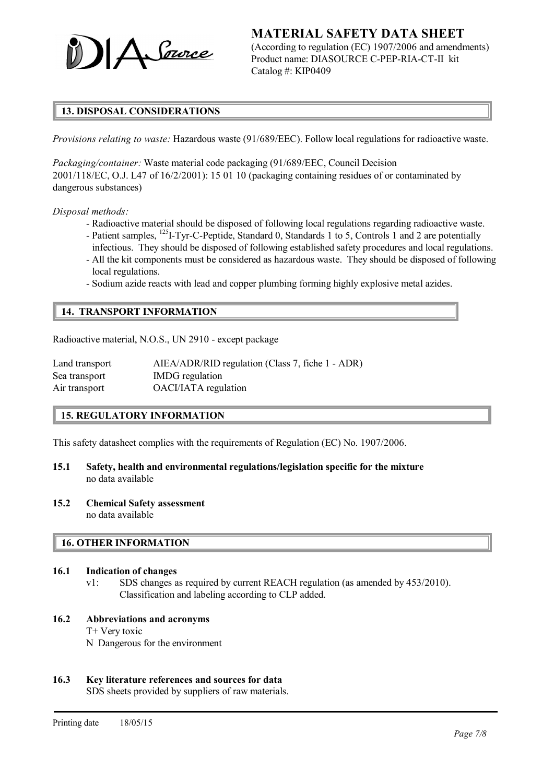

(According to regulation (EC) 1907/2006 and amendments) Product name: DIASOURCE C-PEP-RIA-CT-II kit Catalog #: KIP0409

## 13. DISPOSAL CONSIDERATIONS

*Provisions relating to waste:* Hazardous waste (91/689/EEC). Follow local regulations for radioactive waste.

*Packaging/container:* Waste material code packaging (91/689/EEC, Council Decision 2001/118/EC, O.J. L47 of 16/2/2001): 15 01 10 (packaging containing residues of or contaminated by dangerous substances)

*Disposal methods:*

- Radioactive material should be disposed of following local regulations regarding radioactive waste.
- Patient samples, <sup>125</sup>I-Tyr-C-Peptide, Standard 0, Standards 1 to 5, Controls 1 and 2 are potentially infectious. They should be disposed of following established safety procedures and local regulations.
- All the kit components must be considered as hazardous waste. They should be disposed of following local regulations.
- Sodium azide reacts with lead and copper plumbing forming highly explosive metal azides.

### 14. TRANSPORT INFORMATION

Radioactive material, N.O.S., UN 2910 - except package

| Land transport | AIEA/ADR/RID regulation (Class 7, fiche 1 - ADR) |
|----------------|--------------------------------------------------|
| Sea transport  | IMDG regulation                                  |
| Air transport  | OACI/IATA regulation                             |

### 15. REGULATORY INFORMATION

This safety datasheet complies with the requirements of Regulation (EC) No. 1907/2006.

- 15.1 Safety, health and environmental regulations/legislation specific for the mixture no data available
- 15.2 Chemical Safety assessment no data available

### 16. OTHER INFORMATION

- 16.1 Indication of changes
	- v1: SDS changes as required by current REACH regulation (as amended by 453/2010). Classification and labeling according to CLP added.
- 16.2 Abbreviations and acronyms
	- T+ Very toxic
	- N Dangerous for the environment

### 16.3 Key literature references and sources for data

SDS sheets provided by suppliers of raw materials.